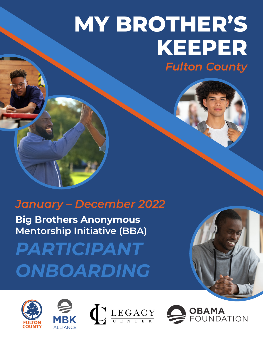# *Fulton County* **MY BROTHER'S KEEPER**

### *January – December 2022*

**Big Brothers Anonymous Mentorship Initiative (BBA)**

*PARTICIPANT ONBOARDING*







**OBAMA**<br>FOUNDATION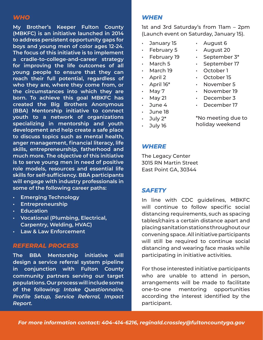#### *WHO*

**My Brother's Keeper Fulton County (MBKFC) is an initiative launched in 2014 to address persistent opportunity gaps for boys and young men of color ages 12-24. The focus of this initiative is to implement a cradle-to-college-and-career strategy for improving the life outcomes of all young people to ensure that they can reach their full potential, regardless of who they are, where they come from, or the circumstances into which they are born. To achieve this goal MBKFC has created the Big Brothers Anonymous (BBA) Mentorship initiative to connect youth to a network of organizations specializing in mentorship and youth development and help create a safe place to discuss topics such as mental health, anger management, financial literacy, life skills, entrepreneurship, fatherhood and much more. The objective of this initiative is to serve young men in need of positive role models, resources and essential life skills for self-sufficiency. BBA participants will engage with industry professionals in some of the following career paths:**

- **• Emerging Technology**
- **• Entrepreneurship**
- **• Education**
- **• Vocational (Plumbing, Electrical, Carpentry, Welding, HVAC)**
- **• Law & Law Enforcement**

#### *REFERRAL PROCESS*

**The BBA Mentorship initiative will design a service referral system pipeline in conjunction with Fulton County community partners serving our target populations. Our process will include some of the following:** *Intake Questionnaire, Profile Setup, Service Referral, Impact Report.*

#### *WHEN*

1st and 3rd Saturday's from 11am – 2pm (Launch event on Saturday, January 15).

> • August 6 • August 20 • September 3\* September 17 • October 1 • October 15 • November 5 • November 19 December 3

- January 15
- February 5
- February 19
- March 5
- March 19
- April 2
- $\cdot$  April 16\*
- May 7
- $\cdot$  May 21
- June 4
- June 18
- $\cdot$  July 2\*
- July 16
	-
- \*No meeting due to
- holiday weekend

#### *WHERE*

The Legacy Center 3015 RN Martin Street East Point GA, 30344

#### *SAFETY*

In line with CDC guidelines, MBKFC will continue to follow specific social distancing requirements, such as spacing tables/chairs a certain distance apart and placing sanitation stations throughout our convening space. All initiative participants will still be required to continue social distancing and wearing face masks while participating in initiative activities.

For those interested initiative participants who are unable to attend in person, arrangements will be made to facilitate one-to-one mentoring opportunities according the interest identified by the participant.

*For more information contact: 404-414-6216, reginald.crossley@fultoncountyga.gov* 

December 17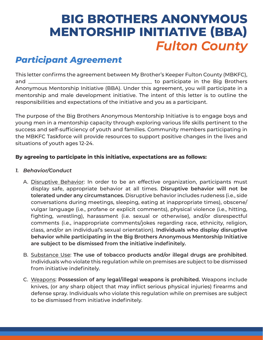### *Participant Agreement*

This letter confirms the agreement between My Brother's Keeper Fulton County (MBKFC), and \_\_\_\_\_\_\_\_\_\_\_\_\_\_\_\_\_\_\_\_\_\_\_\_\_\_\_\_\_\_\_\_\_\_\_\_\_\_\_\_\_\_\_\_\_\_\_\_ to participate in the Big Brothers Anonymous Mentorship Initiative (BBA). Under this agreement, you will participate in a mentorship and male development initiative. The intent of this letter is to outline the responsibilities and expectations of the initiative and you as a participant.

The purpose of the Big Brothers Anonymous Mentorship Initiative is to engage boys and young men in a mentorship capacity through exploring various life skills pertinent to the success and self-sufficiency of youth and families. Community members participating in the MBKFC Taskforce will provide resources to support positive changes in the lives and situations of youth ages 12-24.

#### **By agreeing to participate in this initiative, expectations are as follows:**

- *1. Behavior/Conduct*
	- A. Disruptive Behavior: In order to be an effective organization, participants must display safe, appropriate behavior at all times. **Disruptive behavior will not be tolerated under any circumstances.** Disruptive behavior includes rudeness (i.e., side conversations during meetings, sleeping, eating at inappropriate times), obscene/ vulgar language (i.e., profane or explicit comments), physical violence (i.e., hitting, fighting, wrestling), harassment (i.e. sexual or otherwise), and/or disrespectful comments (i.e., inappropriate comments/jokes regarding race, ethnicity, religion, class, and/or an individual's sexual orientation). **Individuals who display disruptive behavior while participating in the Big Brothers Anonymous Mentorship Initiative are subject to be dismissed from the initiative indefinitely.**
	- B. Substance Use: **The use of tobacco products and/or illegal drugs are prohibited**. Individuals who violate this regulation while on premises are subject to be dismissed from initiative indefinitely.
	- C. Weapons: **Possession of any legal/illegal weapons is prohibited.** Weapons include knives, (or any sharp object that may inflict serious physical injuries) firearms and defense spray. Individuals who violate this regulation while on premises are subject to be dismissed from initiative indefinitely.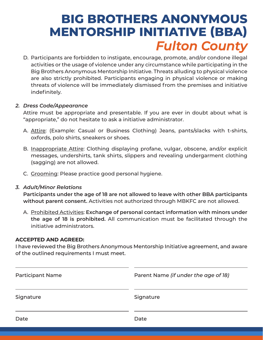D. Participants are forbidden to instigate, encourage, promote, and/or condone illegal activities or the usage of violence under any circumstance while participating in the Big Brothers Anonymous Mentorship Initiative. Threats alluding to physical violence are also strictly prohibited. Participants engaging in physical violence or making threats of violence will be immediately dismissed from the premises and initiative indefinitely.

#### *2. Dress Code/Appearance*

Attire must be appropriate and presentable. If you are ever in doubt about what is "appropriate," do not hesitate to ask a initiative administrator.

- A. Attire: (Example: Casual or Business Clothing) Jeans, pants/slacks with t-shirts, oxfords, polo shirts, sneakers or shoes.
- B. Inappropriate Attire: Clothing displaying profane, vulgar, obscene, and/or explicit messages, undershirts, tank shirts, slippers and revealing undergarment clothing (sagging) are not allowed.
- C. Grooming: Please practice good personal hygiene.

#### *3. Adult/Minor Relations*

**Participants under the age of 18 are not allowed to leave with other BBA participants without parent consent.** Activities not authorized through MBKFC are not allowed.

A. Prohibited Activities: **Exchange of personal contact information with minors under the age of 18 is prohibited.** All communication must be facilitated through the initiative administrators.

#### **ACCEPTED AND AGREED:**

I have reviewed the Big Brothers Anonymous Mentorship Initiative agreement, and aware of the outlined requirements I must meet.

| <b>Participant Name</b> | Parent Name (if under the age of 18) |  |
|-------------------------|--------------------------------------|--|
| Signature               | Signature                            |  |
| Date                    | Date                                 |  |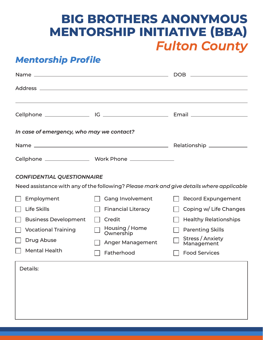### *Mentorship Profile*

|                                           |                                                                                          | <b>DOB</b><br><u> 1989 - Johann Barbara, martxa alemaniar a</u> |  |  |  |
|-------------------------------------------|------------------------------------------------------------------------------------------|-----------------------------------------------------------------|--|--|--|
|                                           |                                                                                          |                                                                 |  |  |  |
|                                           |                                                                                          |                                                                 |  |  |  |
|                                           |                                                                                          |                                                                 |  |  |  |
| In case of emergency, who may we contact? |                                                                                          |                                                                 |  |  |  |
|                                           |                                                                                          | Relationship ______________                                     |  |  |  |
|                                           |                                                                                          |                                                                 |  |  |  |
| <b>CONFIDENTIAL QUESTIONNAIRE</b>         |                                                                                          |                                                                 |  |  |  |
|                                           | Need assistance with any of the following? Please mark and give details where applicable |                                                                 |  |  |  |
| Employment                                | <b>Gang Involvement</b>                                                                  | <b>Record Expungement</b>                                       |  |  |  |
| <b>Life Skills</b>                        | <b>Financial Literacy</b>                                                                | Coping w/ Life Changes                                          |  |  |  |
| <b>Business Development</b>               | Credit                                                                                   | <b>Healthy Relationships</b>                                    |  |  |  |
| <b>Vocational Training</b>                | Housing / Home<br>Ownership                                                              | <b>Parenting Skills</b>                                         |  |  |  |
| <b>Drug Abuse</b>                         | <b>Anger Management</b>                                                                  | <b>Stress / Anxiety</b><br>Management                           |  |  |  |
| <b>Mental Health</b>                      | Fatherhood                                                                               | <b>Food Services</b>                                            |  |  |  |
| <b>Details:</b>                           |                                                                                          |                                                                 |  |  |  |
|                                           |                                                                                          |                                                                 |  |  |  |
|                                           |                                                                                          |                                                                 |  |  |  |
|                                           |                                                                                          |                                                                 |  |  |  |
|                                           |                                                                                          |                                                                 |  |  |  |
|                                           |                                                                                          |                                                                 |  |  |  |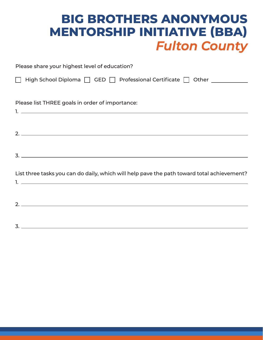| Please share your highest level of education?                                                                                                                                                                                                                                                                                                                                         |
|---------------------------------------------------------------------------------------------------------------------------------------------------------------------------------------------------------------------------------------------------------------------------------------------------------------------------------------------------------------------------------------|
| □ High School Diploma □ GED □ Professional Certificate □ Other ___________                                                                                                                                                                                                                                                                                                            |
|                                                                                                                                                                                                                                                                                                                                                                                       |
| Please list THREE goals in order of importance:                                                                                                                                                                                                                                                                                                                                       |
|                                                                                                                                                                                                                                                                                                                                                                                       |
|                                                                                                                                                                                                                                                                                                                                                                                       |
| $\overline{\mathbf{2.}}$                                                                                                                                                                                                                                                                                                                                                              |
| $\overline{3}$ . $\overline{2}$ $\overline{3}$ $\overline{4}$ $\overline{5}$ $\overline{2}$ $\overline{3}$ $\overline{4}$ $\overline{5}$ $\overline{2}$ $\overline{3}$ $\overline{4}$ $\overline{5}$ $\overline{2}$ $\overline{5}$ $\overline{2}$ $\overline{5}$ $\overline{2}$ $\overline{5}$ $\overline{2}$ $\overline{5}$ $\overline{2}$ $\overline{5}$ $\overline{2}$ $\overline$ |
| List three tasks you can do daily, which will help pave the path toward total achievement?                                                                                                                                                                                                                                                                                            |
|                                                                                                                                                                                                                                                                                                                                                                                       |
|                                                                                                                                                                                                                                                                                                                                                                                       |
|                                                                                                                                                                                                                                                                                                                                                                                       |
|                                                                                                                                                                                                                                                                                                                                                                                       |

3.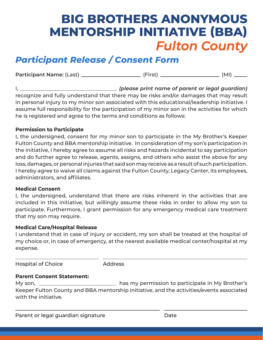### *Participant Release / Consent Form*

**Participant Name:** (Last) (First) (MI)

I, *(please print name of parent or legal guardian)*  recognize and fully understand that there may be risks and/or damages that may result in personal injury to my minor son associated with this educational/leadership initiative. I assume full responsibility for the participation of my minor son in the activities for which he is registered and agree to the terms and conditions as follows:

#### **Permission to Participate**

I, the undersigned, consent for my minor son to participate in the My Brother's Keeper Fulton County and BBA mentorship initiative. In consideration of my son's participation in the initiative, I hereby agree to assume all risks and hazards incidental to say participation and do further agree to release, agents, assigns, and others who assist the above for any loss, damages, or personal injuries that said son may receive as a result of such participation. I hereby agree to waive all claims against the Fulton County, Legacy Center, its employees, administrators, and affiliates.

#### **Medical Consent**

I, the undersigned, understand that there are risks inherent in the activities that are included in this initiative, but willingly assume these risks in order to allow my son to participate. Furthermore, I grant permission for any emergency medical care treatment that my son may require.

#### **Medical Care/Hospital Release**

I understand that in case of injury or accident, my son shall be treated at the hospital of my choice or, in case of emergency, at the nearest available medical center/hospital at my expense.

Hospital of Choice

**Address** 

#### **Parent Consent Statement:**

My son, \_\_\_\_\_\_\_\_\_\_\_\_\_\_\_\_\_\_\_\_\_\_\_\_\_\_\_\_\_\_ has my permission to participate in My Brother's Keeper Fulton County and BBA mentorship initiative, and the activities/events associated with the initiative.